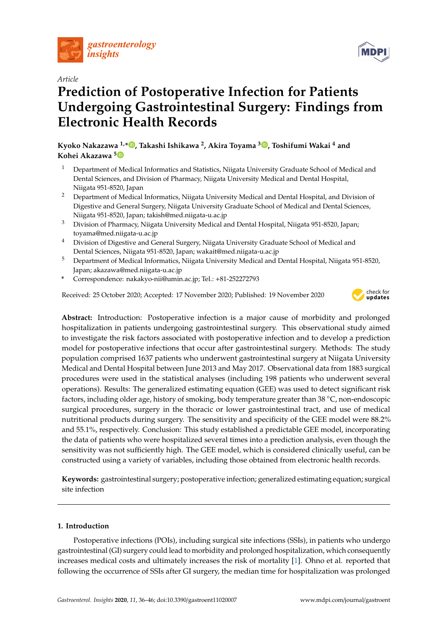

# *Article*

# **Prediction of Postoperative Infection for Patients Undergoing Gastrointestinal Surgery: Findings from Electronic Health Records**

**Kyoko Nakazawa 1,\* [,](https://orcid.org/0000-0003-0809-0090) Takashi Ishikawa <sup>2</sup> , Akira Toyama <sup>3</sup> [,](https://orcid.org/0000-0002-4802-2984) Toshifumi Wakai <sup>4</sup> and Kohei Akazawa [5](https://orcid.org/0000-0002-8434-1376)**

- <sup>1</sup> Department of Medical Informatics and Statistics, Niigata University Graduate School of Medical and Dental Sciences, and Division of Pharmacy, Niigata University Medical and Dental Hospital, Niigata 951-8520, Japan
- <sup>2</sup> Department of Medical Informatics, Niigata University Medical and Dental Hospital, and Division of Digestive and General Surgery, Niigata University Graduate School of Medical and Dental Sciences, Niigata 951-8520, Japan; takish@med.niigata-u.ac.jp
- <sup>3</sup> Division of Pharmacy, Niigata University Medical and Dental Hospital, Niigata 951-8520, Japan; toyama@med.niigata-u.ac.jp
- <sup>4</sup> Division of Digestive and General Surgery, Niigata University Graduate School of Medical and Dental Sciences, Niigata 951-8520, Japan; wakait@med.niigata-u.ac.jp
- <sup>5</sup> Department of Medical Informatics, Niigata University Medical and Dental Hospital, Niigata 951-8520, Japan; akazawa@med.niigata-u.ac.jp
- **\*** Correspondence: nakakyo-nii@umin.ac.jp; Tel.: +81-252272793

Received: 25 October 2020; Accepted: 17 November 2020; Published: 19 November 2020



**Abstract:** Introduction: Postoperative infection is a major cause of morbidity and prolonged hospitalization in patients undergoing gastrointestinal surgery. This observational study aimed to investigate the risk factors associated with postoperative infection and to develop a prediction model for postoperative infections that occur after gastrointestinal surgery. Methods: The study population comprised 1637 patients who underwent gastrointestinal surgery at Niigata University Medical and Dental Hospital between June 2013 and May 2017. Observational data from 1883 surgical procedures were used in the statistical analyses (including 198 patients who underwent several operations). Results: The generalized estimating equation (GEE) was used to detect significant risk factors, including older age, history of smoking, body temperature greater than 38 ◦C, non-endoscopic surgical procedures, surgery in the thoracic or lower gastrointestinal tract, and use of medical nutritional products during surgery. The sensitivity and specificity of the GEE model were 88.2% and 55.1%, respectively. Conclusion: This study established a predictable GEE model, incorporating the data of patients who were hospitalized several times into a prediction analysis, even though the sensitivity was not sufficiently high. The GEE model, which is considered clinically useful, can be constructed using a variety of variables, including those obtained from electronic health records.

**Keywords:** gastrointestinal surgery; postoperative infection; generalized estimating equation; surgical site infection

# **1. Introduction**

Postoperative infections (POIs), including surgical site infections (SSIs), in patients who undergo gastrointestinal (GI) surgery could lead to morbidity and prolonged hospitalization, which consequently increases medical costs and ultimately increases the risk of mortality [\[1\]](#page-8-0). Ohno et al. reported that following the occurrence of SSIs after GI surgery, the median time for hospitalization was prolonged

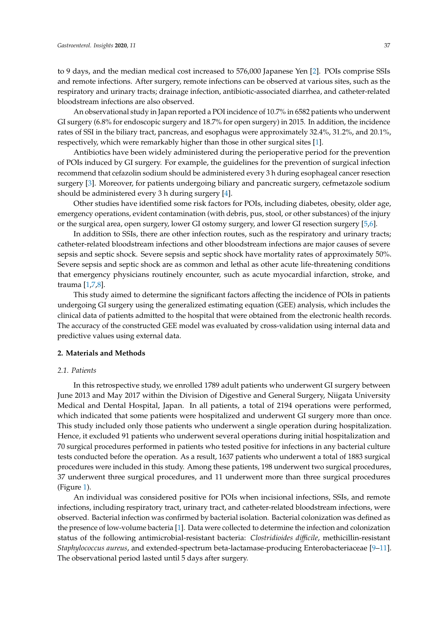to 9 days, and the median medical cost increased to 576,000 Japanese Yen [\[2\]](#page-8-1). POIs comprise SSIs and remote infections. After surgery, remote infections can be observed at various sites, such as the respiratory and urinary tracts; drainage infection, antibiotic-associated diarrhea, and catheter-related bloodstream infections are also observed.

An observational study in Japan reported a POI incidence of 10.7% in 6582 patients who underwent GI surgery (6.8% for endoscopic surgery and 18.7% for open surgery) in 2015. In addition, the incidence rates of SSI in the biliary tract, pancreas, and esophagus were approximately 32.4%, 31.2%, and 20.1%, respectively, which were remarkably higher than those in other surgical sites [\[1\]](#page-8-0).

Antibiotics have been widely administered during the perioperative period for the prevention of POIs induced by GI surgery. For example, the guidelines for the prevention of surgical infection recommend that cefazolin sodium should be administered every 3 h during esophageal cancer resection surgery [\[3\]](#page-9-0). Moreover, for patients undergoing biliary and pancreatic surgery, cefmetazole sodium should be administered every 3 h during surgery [\[4\]](#page-9-1).

Other studies have identified some risk factors for POIs, including diabetes, obesity, older age, emergency operations, evident contamination (with debris, pus, stool, or other substances) of the injury or the surgical area, open surgery, lower GI ostomy surgery, and lower GI resection surgery [\[5,](#page-9-2)[6\]](#page-9-3).

In addition to SSIs, there are other infection routes, such as the respiratory and urinary tracts; catheter-related bloodstream infections and other bloodstream infections are major causes of severe sepsis and septic shock. Severe sepsis and septic shock have mortality rates of approximately 50%. Severe sepsis and septic shock are as common and lethal as other acute life-threatening conditions that emergency physicians routinely encounter, such as acute myocardial infarction, stroke, and trauma [\[1](#page-8-0)[,7,](#page-9-4)[8\]](#page-9-5).

This study aimed to determine the significant factors affecting the incidence of POIs in patients undergoing GI surgery using the generalized estimating equation (GEE) analysis, which includes the clinical data of patients admitted to the hospital that were obtained from the electronic health records. The accuracy of the constructed GEE model was evaluated by cross-validation using internal data and predictive values using external data.

### **2. Materials and Methods**

#### *2.1. Patients*

In this retrospective study, we enrolled 1789 adult patients who underwent GI surgery between June 2013 and May 2017 within the Division of Digestive and General Surgery, Niigata University Medical and Dental Hospital, Japan. In all patients, a total of 2194 operations were performed, which indicated that some patients were hospitalized and underwent GI surgery more than once. This study included only those patients who underwent a single operation during hospitalization. Hence, it excluded 91 patients who underwent several operations during initial hospitalization and 70 surgical procedures performed in patients who tested positive for infections in any bacterial culture tests conducted before the operation. As a result, 1637 patients who underwent a total of 1883 surgical procedures were included in this study. Among these patients, 198 underwent two surgical procedures, 37 underwent three surgical procedures, and 11 underwent more than three surgical procedures (Figure [1\)](#page-2-0).

An individual was considered positive for POIs when incisional infections, SSIs, and remote infections, including respiratory tract, urinary tract, and catheter-related bloodstream infections, were observed. Bacterial infection was confirmed by bacterial isolation. Bacterial colonization was defined as the presence of low-volume bacteria [\[1\]](#page-8-0). Data were collected to determine the infection and colonization status of the following antimicrobial-resistant bacteria: *Clostridioides di*ffi*cile*, methicillin-resistant *Staphylococcus aureus*, and extended-spectrum beta-lactamase-producing Enterobacteriaceae [\[9–](#page-9-6)[11\]](#page-9-7). The observational period lasted until 5 days after surgery.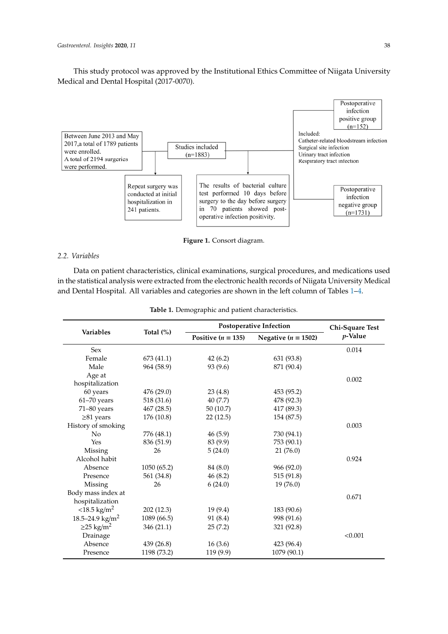This study protocol was approved by the Institutional Ethics Committee of Niigata University Medical and Dental Hospital (2017-0070).

<span id="page-2-0"></span>

**Figure 1.** Consort diagram.

# *2.2. Variables*

Data on patient characteristics, clinical examinations, surgical procedures, and medications used in the statistical analysis were extracted from the electronic health records of Niigata University Medical and Dental Hospital. All variables and categories are shown in the left column of Tables [1–](#page-2-1)[4.](#page-4-0)

|                             |              |                      | Postoperative Infection | Chi-Square Test |
|-----------------------------|--------------|----------------------|-------------------------|-----------------|
| <b>Variables</b>            | Total $(\%)$ | Positive $(n = 135)$ | Negative ( $n = 1502$ ) | $p$ -Value      |
| <b>Sex</b>                  |              |                      |                         | 0.014           |
| Female                      | 673(41.1)    | 42(6.2)              | 631 (93.8)              |                 |
| Male                        | 964 (58.9)   | 93 (9.6)             | 871 (90.4)              |                 |
| Age at                      |              |                      |                         | 0.002           |
| hospitalization             |              |                      |                         |                 |
| 60 years                    | 476 (29.0)   | 23(4.8)              | 453 (95.2)              |                 |
| $61-70$ years               | 518 (31.6)   | 40 (7.7)             | 478 (92.3)              |                 |
| 71-80 years                 | 467 (28.5)   | 50(10.7)             | 417 (89.3)              |                 |
| $\geq 81$ years             | 176 (10.8)   | 22(12.5)             | 154 (87.5)              |                 |
| History of smoking          |              |                      |                         | 0.003           |
| No                          | 776 (48.1)   | 46(5.9)              | 730 (94.1)              |                 |
| Yes                         | 836 (51.9)   | 83 (9.9)             | 753 (90.1)              |                 |
| Missing                     | 26           | 5(24.0)              | 21(76.0)                |                 |
| Alcohol habit               |              |                      |                         | 0.924           |
| Absence                     | 1050 (65.2)  | 84 (8.0)             | 966 (92.0)              |                 |
| Presence                    | 561 (34.8)   | 46(8.2)              | 515 (91.8)              |                 |
| Missing                     | 26           | 6(24.0)              | 19(76.0)                |                 |
| Body mass index at          |              |                      |                         | 0.671           |
| hospitalization             |              |                      |                         |                 |
| $<$ 18.5 kg/m <sup>2</sup>  | 202 (12.3)   | 19(9.4)              | 183 (90.6)              |                 |
| 18.5-24.9 kg/m <sup>2</sup> | 1089 (66.5)  | 91 (8.4)             | 998 (91.6)              |                 |
| $\geq$ 25 kg/m <sup>2</sup> | 346 (21.1)   | 25(7.2)              | 321 (92.8)              |                 |
| Drainage                    |              |                      |                         | < 0.001         |
| Absence                     | 439 (26.8)   | 16(3.6)              | 423 (96.4)              |                 |
| Presence                    | 1198 (73.2)  | 119 (9.9)            | 1079 (90.1)             |                 |

<span id="page-2-1"></span>and Dental Hospital. All variables and categories are shown in the left column of Tables 1–4. **Table 1.** Demographic and patient characteristics.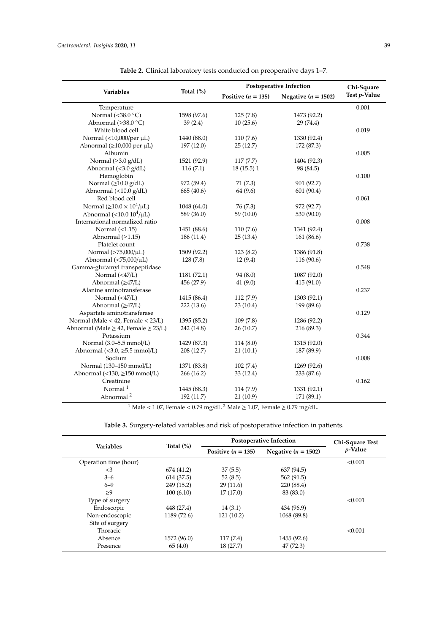<span id="page-3-0"></span>

|                                                   |              |                        | <b>Postoperative Infection</b> | Chi-Square   |
|---------------------------------------------------|--------------|------------------------|--------------------------------|--------------|
| <b>Variables</b>                                  | Total $(\%)$ | Positive ( $n = 135$ ) | Negative ( $n = 1502$ )        | Test p-Value |
| Temperature                                       |              |                        |                                | 0.001        |
| Normal (<38.0 $^{\circ}$ C)                       | 1598 (97.6)  | 125(7.8)               | 1473 (92.2)                    |              |
| Abnormal ( $\geq$ 38.0 °C)                        | 39(2.4)      | 10(25.6)               | 29 (74.4)                      |              |
| White blood cell                                  |              |                        |                                | 0.019        |
| Normal (<10,000/per µL)                           | 1440 (88.0)  | 110(7.6)               | 1330 (92.4)                    |              |
| Abnormal ( $\geq$ 10,000 per $\mu$ L)             | 197(12.0)    | 25(12.7)               | 172 (87.3)                     |              |
| Albumin                                           |              |                        |                                | 0.005        |
| Normal $(\geq 3.0 \text{ g/dL})$                  | 1521 (92.9)  | 117(7.7)               | 1404 (92.3)                    |              |
| Abnormal (<3.0 g/dL)                              | 116(7.1)     | 18(15.5)1              | 98 (84.5)                      |              |
| Hemoglobin                                        |              |                        |                                | 0.100        |
| Normal $(\geq 10.0 \text{ g/dL})$                 | 972 (59.4)   | 71(7.3)                | 901 (92.7)                     |              |
| Abnormal $(\langle 10.0 \text{ g/dL} \rangle)$    | 665 (40.6)   | 64 (9.6)               | 601 (90.4)                     |              |
| Red blood cell                                    |              |                        |                                | 0.061        |
| Normal $(\geq 10.0 \times 10^4/\mu L)$            | 1048 (64.0)  | 76(7.3)                | 972 (92.7)                     |              |
| Abnormal $(<10.0 104/\mu L)$                      | 589 (36.0)   | 59(10.0)               | 530 (90.0)                     |              |
| International normalized ratio                    |              |                        |                                | 0.008        |
| Normal $(\langle 1.15)$                           | 1451 (88.6)  | 110(7.6)               | 1341 (92.4)                    |              |
| Abnormal $(≥1.15)$                                | 186(11.4)    | 25(13.4)               | 161(86.6)                      |              |
| Platelet count                                    |              |                        |                                | 0.738        |
| Normal (>75,000/μL)                               | 1509 (92.2)  | 123(8.2)               | 1386 (91.8)                    |              |
| Abnormal $(75,000/µL)$                            | 128(7.8)     | 12(9.4)                | 116 (90.6)                     |              |
| Gamma-glutamyl transpeptidase                     |              |                        |                                | 0.548        |
| Normal $(47/L)$                                   | 1181 (72.1)  | 94 (8.0)               | 1087 (92.0)                    |              |
| Abnormal $(\geq 47/L)$                            | 456 (27.9)   | 41(9.0)                | 415(91.0)                      |              |
| Alanine aminotransferase                          |              |                        |                                | 0.237        |
| Normal $(47/L)$                                   | 1415 (86.4)  | 112(7.9)               | 1303 (92.1)                    |              |
| Abnormal (≥47/L)                                  | 222 (13.6)   | 23(10.4)               | 199 (89.6)                     |              |
| Aspartate aminotransferase                        |              |                        |                                | 0.129        |
| Normal (Male < 42, Female < 23/L)                 | 1395 (85.2)  | 109(7.8)               | 1286 (92.2)                    |              |
| Abnormal (Male $\geq$ 42, Female $\geq$ 23/L)     | 242 (14.8)   | 26(10.7)               | 216 (89.3)                     |              |
| Potassium                                         |              |                        |                                | 0.344        |
| Normal (3.0-5.5 mmol/L)                           | 1429 (87.3)  | 114(8.0)               | 1315 (92.0)                    |              |
| Abnormal $(3.0, \geq 5.5 mmol/L)$                 | 208 (12.7)   | 21(10.1)               | 187 (89.9)                     |              |
| Sodium                                            |              |                        |                                | 0.008        |
| Normal (130-150 mmol/L)                           | 1371 (83.8)  | 102(7.4)               | 1269 (92.6)                    |              |
| Abnormal $(\langle 130, \geq 150 \text{ mmol/L})$ | 266(16.2)    | 33(12.4)               | 233 (87.6)                     |              |
| Creatinine                                        |              |                        |                                | 0.162        |
| Normal $1$                                        | 1445 (88.3)  | 114 (7.9)              | 1331 (92.1)                    |              |
| Abnormal <sup>2</sup>                             | 192 (11.7)   | 21(10.9)               | 171 (89.1)                     |              |
|                                                   |              |                        |                                |              |

**Table 2.** Clinical laboratory tests conducted on preoperative days 1–7.

 $^{-1}$  Male < 1.07, Female < 0.79 mg/dL  $^2$  Male  $\geq$  1.07, Female  $\geq$  0.79 mg/dL.

| Table 3. Surgery-related variables and risk of postoperative infection in patients. |
|-------------------------------------------------------------------------------------|
|-------------------------------------------------------------------------------------|

<span id="page-3-1"></span>

|                       |              | Postoperative Infection | Chi-Square Test         |                 |
|-----------------------|--------------|-------------------------|-------------------------|-----------------|
| <b>Variables</b>      | Total $(\%)$ | Positive $(n = 135)$    | Negative ( $n = 1502$ ) | <i>p</i> -Value |
| Operation time (hour) |              |                         |                         | < 0.001         |
| $\leq$ 3              | 674 (41.2)   | 37(5.5)                 | 637 (94.5)              |                 |
| $3 - 6$               | 614 (37.5)   | 52(8.5)                 | 562 (91.5)              |                 |
| $6 - 9$               | 249 (15.2)   | 29(11.6)                | 220 (88.4)              |                 |
| >9                    | 100(6.10)    | 17(17.0)                | 83 (83.0)               |                 |
| Type of surgery       |              |                         |                         | < 0.001         |
| Endoscopic            | 448 (27.4)   | 14(3.1)                 | 434 (96.9)              |                 |
| Non-endoscopic        | 1189 (72.6)  | 121(10.2)               | 1068 (89.8)             |                 |
| Site of surgery       |              |                         |                         |                 |
| Thoracic              |              |                         |                         | < 0.001         |
| Absence               | 1572 (96.0)  | 117(7.4)                | 1455 (92.6)             |                 |
| Presence              | 65(4.0)      | 18(27.7)                | 47 (72.3)               |                 |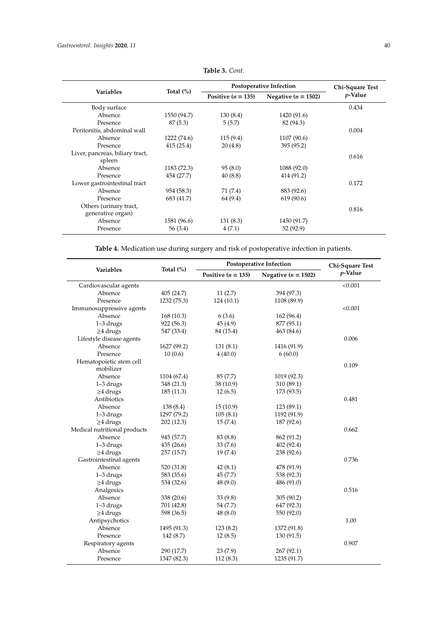|                                 |              | Postoperative Infection | Chi-Square Test         |            |
|---------------------------------|--------------|-------------------------|-------------------------|------------|
| <b>Variables</b>                | Total $(\%)$ | Positive $(n = 135)$    | Negative ( $n = 1502$ ) | $p$ -Value |
| Body surface                    |              |                         |                         | 0.434      |
| Absence                         | 1550 (94.7)  | 130(8.4)                | 1420 (91.6)             |            |
| Presence                        | 87(5.3)      | 5(5.7)                  | 82 (94.3)               |            |
| Peritonitis, abdominal wall     |              |                         |                         | 0.004      |
| Absence                         | 1222 (74.6)  | 115(9.4)                | 1107 (90.6)             |            |
| Presence                        | 415 (25.4)   | 20(4.8)                 | 395 (95.2)              |            |
| Liver, pancreas, biliary tract, |              |                         |                         |            |
| spleen                          |              |                         |                         | 0.616      |
| Absence                         | 1183 (72.3)  | 95(8.0)                 | 1088 (92.0)             |            |
| Presence                        | 454 (27.7)   | 40(8.8)                 | 414 (91.2)              |            |
| Lower gastrointestinal tract    |              |                         |                         | 0.172      |
| Absence                         | 954 (58.3)   | 71 (7.4)                | 883 (92.6)              |            |
| Presence                        | 683 (41.7)   | 64 (9.4)                | 619 (90.6)              |            |
| Others (urinary tract,          |              |                         |                         |            |
| generative organ)               |              |                         |                         | 0.816      |
| Absence                         | 1581 (96.6)  | 131(8.3)                | 1450 (91.7)             |            |
| Presence                        | 56 (3.4)     | 4(7.1)                  | 52 (92.9)               |            |

**Table 3.** *Cont*.

**Table 4.** Medication use during surgery and risk of postoperative infection in patients.

<span id="page-4-0"></span>

| Variables<br>$p$ -Value<br>Positive $(n = 135)$<br>Negative ( $n = 1502$ )<br>< 0.001<br>Cardiovascular agents<br>Absence<br>405 (24.7)<br>11(2.7)<br>394 (97.3)<br>1232 (75.3)<br>124(10.1)<br>1108 (89.9)<br>Presence<br>< 0.001<br>Immunosuppressive agents<br>Absence<br>6(3.6)<br>162 (96.4)<br>168(10.3)<br>$1-3$ drugs<br>922 (56.3)<br>45(4.9)<br>877 (95.1)<br>$\geq$ 4 drugs<br>547 (33.4)<br>84 (15.4)<br>463 (84.6)<br>0.006<br>Lifestyle disease agents<br>Absence<br>1627 (99.2)<br>1416 (91.9)<br>131(8.1)<br>Presence<br>10(0.6)<br>6(60.0)<br>4(40.0)<br>Hematopoietic stem cell<br>0.109<br>mobilizer<br>Absence<br>1104 (67.4)<br>85(7.7)<br>1019 (92.3)<br>$1-3$ drugs<br>348 (21.3)<br>38 (10.9)<br>310 (89.1)<br>$\geq$ 4 drugs<br>185(11.3)<br>12(6.5)<br>173 (93.5)<br>Antibiotics<br>0.481<br>Absence<br>138 (8.4)<br>15(10.9)<br>123 (89.1)<br>1297 (79.2)<br>105(8.1)<br>1192 (91.9)<br>$1-3$ drugs<br>$\geq$ 4 drugs<br>187 (92.6)<br>202(12.3)<br>15(7.4)<br>Medical nutritional products<br>0.662<br>Absence<br>945 (57.7)<br>83 (8.8)<br>862 (91.2)<br>1-3 drugs<br>435 (26.6)<br>33(7.6)<br>402 (92.4)<br>$\geq$ 4 drugs<br>257 (15.7)<br>19(7.4)<br>238 (92.6)<br>Gastrointestinal agents<br>0.736<br>478 (91.9)<br>Absence<br>520 (31.8)<br>42(8.1)<br>$1-3$ drugs<br>583 (35.6)<br>45(7.7)<br>538 (92.3)<br>$\geq$ 4 drugs<br>534 (32.6)<br>48(9.0)<br>486 (91.0)<br>Analgesics<br>0.516<br>Absence<br>338 (20.6)<br>33(9.8)<br>305(90.2)<br>$1-3$ drugs<br>701 (42.8)<br>647 (92.3)<br>54 (7.7)<br>$\geq$ 4 drugs<br>598 (36.5)<br>48(8.0)<br>550 (92.0)<br>Antipsychotics<br>1.00<br>Absence<br>1495 (91.3)<br>123(8.2)<br>1372 (91.8)<br>Presence<br>142 (8.7)<br>12(8.5)<br>130 (91.5)<br>0.907<br>Respiratory agents<br>Absence<br>290 (17.7)<br>23(7.9)<br>267 (92.1) |          | Total (%)   | <b>Postoperative Infection</b> |             | Chi-Square Test |
|----------------------------------------------------------------------------------------------------------------------------------------------------------------------------------------------------------------------------------------------------------------------------------------------------------------------------------------------------------------------------------------------------------------------------------------------------------------------------------------------------------------------------------------------------------------------------------------------------------------------------------------------------------------------------------------------------------------------------------------------------------------------------------------------------------------------------------------------------------------------------------------------------------------------------------------------------------------------------------------------------------------------------------------------------------------------------------------------------------------------------------------------------------------------------------------------------------------------------------------------------------------------------------------------------------------------------------------------------------------------------------------------------------------------------------------------------------------------------------------------------------------------------------------------------------------------------------------------------------------------------------------------------------------------------------------------------------------------------------------------------------------------------------------------------------------|----------|-------------|--------------------------------|-------------|-----------------|
|                                                                                                                                                                                                                                                                                                                                                                                                                                                                                                                                                                                                                                                                                                                                                                                                                                                                                                                                                                                                                                                                                                                                                                                                                                                                                                                                                                                                                                                                                                                                                                                                                                                                                                                                                                                                                |          |             |                                |             |                 |
|                                                                                                                                                                                                                                                                                                                                                                                                                                                                                                                                                                                                                                                                                                                                                                                                                                                                                                                                                                                                                                                                                                                                                                                                                                                                                                                                                                                                                                                                                                                                                                                                                                                                                                                                                                                                                |          |             |                                |             |                 |
|                                                                                                                                                                                                                                                                                                                                                                                                                                                                                                                                                                                                                                                                                                                                                                                                                                                                                                                                                                                                                                                                                                                                                                                                                                                                                                                                                                                                                                                                                                                                                                                                                                                                                                                                                                                                                |          |             |                                |             |                 |
|                                                                                                                                                                                                                                                                                                                                                                                                                                                                                                                                                                                                                                                                                                                                                                                                                                                                                                                                                                                                                                                                                                                                                                                                                                                                                                                                                                                                                                                                                                                                                                                                                                                                                                                                                                                                                |          |             |                                |             |                 |
|                                                                                                                                                                                                                                                                                                                                                                                                                                                                                                                                                                                                                                                                                                                                                                                                                                                                                                                                                                                                                                                                                                                                                                                                                                                                                                                                                                                                                                                                                                                                                                                                                                                                                                                                                                                                                |          |             |                                |             |                 |
|                                                                                                                                                                                                                                                                                                                                                                                                                                                                                                                                                                                                                                                                                                                                                                                                                                                                                                                                                                                                                                                                                                                                                                                                                                                                                                                                                                                                                                                                                                                                                                                                                                                                                                                                                                                                                |          |             |                                |             |                 |
|                                                                                                                                                                                                                                                                                                                                                                                                                                                                                                                                                                                                                                                                                                                                                                                                                                                                                                                                                                                                                                                                                                                                                                                                                                                                                                                                                                                                                                                                                                                                                                                                                                                                                                                                                                                                                |          |             |                                |             |                 |
|                                                                                                                                                                                                                                                                                                                                                                                                                                                                                                                                                                                                                                                                                                                                                                                                                                                                                                                                                                                                                                                                                                                                                                                                                                                                                                                                                                                                                                                                                                                                                                                                                                                                                                                                                                                                                |          |             |                                |             |                 |
|                                                                                                                                                                                                                                                                                                                                                                                                                                                                                                                                                                                                                                                                                                                                                                                                                                                                                                                                                                                                                                                                                                                                                                                                                                                                                                                                                                                                                                                                                                                                                                                                                                                                                                                                                                                                                |          |             |                                |             |                 |
|                                                                                                                                                                                                                                                                                                                                                                                                                                                                                                                                                                                                                                                                                                                                                                                                                                                                                                                                                                                                                                                                                                                                                                                                                                                                                                                                                                                                                                                                                                                                                                                                                                                                                                                                                                                                                |          |             |                                |             |                 |
|                                                                                                                                                                                                                                                                                                                                                                                                                                                                                                                                                                                                                                                                                                                                                                                                                                                                                                                                                                                                                                                                                                                                                                                                                                                                                                                                                                                                                                                                                                                                                                                                                                                                                                                                                                                                                |          |             |                                |             |                 |
|                                                                                                                                                                                                                                                                                                                                                                                                                                                                                                                                                                                                                                                                                                                                                                                                                                                                                                                                                                                                                                                                                                                                                                                                                                                                                                                                                                                                                                                                                                                                                                                                                                                                                                                                                                                                                |          |             |                                |             |                 |
|                                                                                                                                                                                                                                                                                                                                                                                                                                                                                                                                                                                                                                                                                                                                                                                                                                                                                                                                                                                                                                                                                                                                                                                                                                                                                                                                                                                                                                                                                                                                                                                                                                                                                                                                                                                                                |          |             |                                |             |                 |
|                                                                                                                                                                                                                                                                                                                                                                                                                                                                                                                                                                                                                                                                                                                                                                                                                                                                                                                                                                                                                                                                                                                                                                                                                                                                                                                                                                                                                                                                                                                                                                                                                                                                                                                                                                                                                |          |             |                                |             |                 |
|                                                                                                                                                                                                                                                                                                                                                                                                                                                                                                                                                                                                                                                                                                                                                                                                                                                                                                                                                                                                                                                                                                                                                                                                                                                                                                                                                                                                                                                                                                                                                                                                                                                                                                                                                                                                                |          |             |                                |             |                 |
|                                                                                                                                                                                                                                                                                                                                                                                                                                                                                                                                                                                                                                                                                                                                                                                                                                                                                                                                                                                                                                                                                                                                                                                                                                                                                                                                                                                                                                                                                                                                                                                                                                                                                                                                                                                                                |          |             |                                |             |                 |
|                                                                                                                                                                                                                                                                                                                                                                                                                                                                                                                                                                                                                                                                                                                                                                                                                                                                                                                                                                                                                                                                                                                                                                                                                                                                                                                                                                                                                                                                                                                                                                                                                                                                                                                                                                                                                |          |             |                                |             |                 |
|                                                                                                                                                                                                                                                                                                                                                                                                                                                                                                                                                                                                                                                                                                                                                                                                                                                                                                                                                                                                                                                                                                                                                                                                                                                                                                                                                                                                                                                                                                                                                                                                                                                                                                                                                                                                                |          |             |                                |             |                 |
|                                                                                                                                                                                                                                                                                                                                                                                                                                                                                                                                                                                                                                                                                                                                                                                                                                                                                                                                                                                                                                                                                                                                                                                                                                                                                                                                                                                                                                                                                                                                                                                                                                                                                                                                                                                                                |          |             |                                |             |                 |
|                                                                                                                                                                                                                                                                                                                                                                                                                                                                                                                                                                                                                                                                                                                                                                                                                                                                                                                                                                                                                                                                                                                                                                                                                                                                                                                                                                                                                                                                                                                                                                                                                                                                                                                                                                                                                |          |             |                                |             |                 |
|                                                                                                                                                                                                                                                                                                                                                                                                                                                                                                                                                                                                                                                                                                                                                                                                                                                                                                                                                                                                                                                                                                                                                                                                                                                                                                                                                                                                                                                                                                                                                                                                                                                                                                                                                                                                                |          |             |                                |             |                 |
|                                                                                                                                                                                                                                                                                                                                                                                                                                                                                                                                                                                                                                                                                                                                                                                                                                                                                                                                                                                                                                                                                                                                                                                                                                                                                                                                                                                                                                                                                                                                                                                                                                                                                                                                                                                                                |          |             |                                |             |                 |
|                                                                                                                                                                                                                                                                                                                                                                                                                                                                                                                                                                                                                                                                                                                                                                                                                                                                                                                                                                                                                                                                                                                                                                                                                                                                                                                                                                                                                                                                                                                                                                                                                                                                                                                                                                                                                |          |             |                                |             |                 |
|                                                                                                                                                                                                                                                                                                                                                                                                                                                                                                                                                                                                                                                                                                                                                                                                                                                                                                                                                                                                                                                                                                                                                                                                                                                                                                                                                                                                                                                                                                                                                                                                                                                                                                                                                                                                                |          |             |                                |             |                 |
|                                                                                                                                                                                                                                                                                                                                                                                                                                                                                                                                                                                                                                                                                                                                                                                                                                                                                                                                                                                                                                                                                                                                                                                                                                                                                                                                                                                                                                                                                                                                                                                                                                                                                                                                                                                                                |          |             |                                |             |                 |
|                                                                                                                                                                                                                                                                                                                                                                                                                                                                                                                                                                                                                                                                                                                                                                                                                                                                                                                                                                                                                                                                                                                                                                                                                                                                                                                                                                                                                                                                                                                                                                                                                                                                                                                                                                                                                |          |             |                                |             |                 |
|                                                                                                                                                                                                                                                                                                                                                                                                                                                                                                                                                                                                                                                                                                                                                                                                                                                                                                                                                                                                                                                                                                                                                                                                                                                                                                                                                                                                                                                                                                                                                                                                                                                                                                                                                                                                                |          |             |                                |             |                 |
|                                                                                                                                                                                                                                                                                                                                                                                                                                                                                                                                                                                                                                                                                                                                                                                                                                                                                                                                                                                                                                                                                                                                                                                                                                                                                                                                                                                                                                                                                                                                                                                                                                                                                                                                                                                                                |          |             |                                |             |                 |
|                                                                                                                                                                                                                                                                                                                                                                                                                                                                                                                                                                                                                                                                                                                                                                                                                                                                                                                                                                                                                                                                                                                                                                                                                                                                                                                                                                                                                                                                                                                                                                                                                                                                                                                                                                                                                |          |             |                                |             |                 |
|                                                                                                                                                                                                                                                                                                                                                                                                                                                                                                                                                                                                                                                                                                                                                                                                                                                                                                                                                                                                                                                                                                                                                                                                                                                                                                                                                                                                                                                                                                                                                                                                                                                                                                                                                                                                                |          |             |                                |             |                 |
|                                                                                                                                                                                                                                                                                                                                                                                                                                                                                                                                                                                                                                                                                                                                                                                                                                                                                                                                                                                                                                                                                                                                                                                                                                                                                                                                                                                                                                                                                                                                                                                                                                                                                                                                                                                                                |          |             |                                |             |                 |
|                                                                                                                                                                                                                                                                                                                                                                                                                                                                                                                                                                                                                                                                                                                                                                                                                                                                                                                                                                                                                                                                                                                                                                                                                                                                                                                                                                                                                                                                                                                                                                                                                                                                                                                                                                                                                |          |             |                                |             |                 |
|                                                                                                                                                                                                                                                                                                                                                                                                                                                                                                                                                                                                                                                                                                                                                                                                                                                                                                                                                                                                                                                                                                                                                                                                                                                                                                                                                                                                                                                                                                                                                                                                                                                                                                                                                                                                                |          |             |                                |             |                 |
|                                                                                                                                                                                                                                                                                                                                                                                                                                                                                                                                                                                                                                                                                                                                                                                                                                                                                                                                                                                                                                                                                                                                                                                                                                                                                                                                                                                                                                                                                                                                                                                                                                                                                                                                                                                                                |          |             |                                |             |                 |
|                                                                                                                                                                                                                                                                                                                                                                                                                                                                                                                                                                                                                                                                                                                                                                                                                                                                                                                                                                                                                                                                                                                                                                                                                                                                                                                                                                                                                                                                                                                                                                                                                                                                                                                                                                                                                |          |             |                                |             |                 |
|                                                                                                                                                                                                                                                                                                                                                                                                                                                                                                                                                                                                                                                                                                                                                                                                                                                                                                                                                                                                                                                                                                                                                                                                                                                                                                                                                                                                                                                                                                                                                                                                                                                                                                                                                                                                                |          |             |                                |             |                 |
|                                                                                                                                                                                                                                                                                                                                                                                                                                                                                                                                                                                                                                                                                                                                                                                                                                                                                                                                                                                                                                                                                                                                                                                                                                                                                                                                                                                                                                                                                                                                                                                                                                                                                                                                                                                                                |          |             |                                |             |                 |
|                                                                                                                                                                                                                                                                                                                                                                                                                                                                                                                                                                                                                                                                                                                                                                                                                                                                                                                                                                                                                                                                                                                                                                                                                                                                                                                                                                                                                                                                                                                                                                                                                                                                                                                                                                                                                | Presence | 1347 (82.3) | 112(8.3)                       | 1235 (91.7) |                 |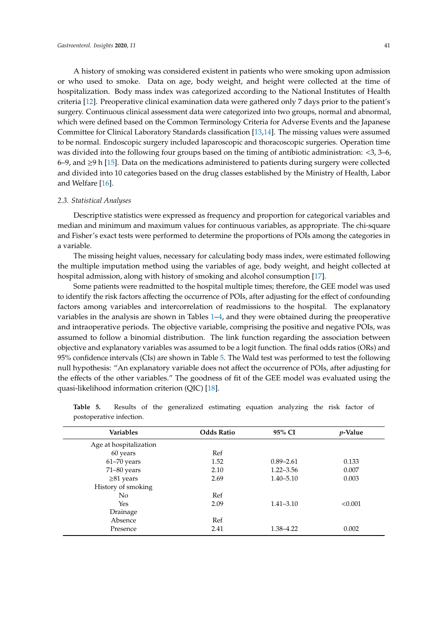A history of smoking was considered existent in patients who were smoking upon admission or who used to smoke. Data on age, body weight, and height were collected at the time of hospitalization. Body mass index was categorized according to the National Institutes of Health criteria [\[12\]](#page-9-8). Preoperative clinical examination data were gathered only 7 days prior to the patient's surgery. Continuous clinical assessment data were categorized into two groups, normal and abnormal, which were defined based on the Common Terminology Criteria for Adverse Events and the Japanese Committee for Clinical Laboratory Standards classification [\[13,](#page-9-9)[14\]](#page-9-10). The missing values were assumed to be normal. Endoscopic surgery included laparoscopic and thoracoscopic surgeries. Operation time was divided into the following four groups based on the timing of antibiotic administration: <3, 3–6, 6–9, and ≥9 h [\[15\]](#page-9-11). Data on the medications administered to patients during surgery were collected and divided into 10 categories based on the drug classes established by the Ministry of Health, Labor and Welfare [\[16\]](#page-9-12).

#### *2.3. Statistical Analyses*

Descriptive statistics were expressed as frequency and proportion for categorical variables and median and minimum and maximum values for continuous variables, as appropriate. The chi-square and Fisher's exact tests were performed to determine the proportions of POIs among the categories in a variable.

The missing height values, necessary for calculating body mass index, were estimated following the multiple imputation method using the variables of age, body weight, and height collected at hospital admission, along with history of smoking and alcohol consumption [\[17\]](#page-9-13).

Some patients were readmitted to the hospital multiple times; therefore, the GEE model was used to identify the risk factors affecting the occurrence of POIs, after adjusting for the effect of confounding factors among variables and intercorrelation of readmissions to the hospital. The explanatory variables in the analysis are shown in Tables [1](#page-2-1)[–4,](#page-4-0) and they were obtained during the preoperative and intraoperative periods. The objective variable, comprising the positive and negative POIs, was assumed to follow a binomial distribution. The link function regarding the association between objective and explanatory variables was assumed to be a logit function. The final odds ratios (ORs) and 95% confidence intervals (CIs) are shown in Table [5.](#page-5-0) The Wald test was performed to test the following null hypothesis: "An explanatory variable does not affect the occurrence of POIs, after adjusting for the effects of the other variables." The goodness of fit of the GEE model was evaluated using the quasi-likelihood information criterion (QIC) [\[18\]](#page-9-14).

| <b>Variables</b>       | <b>Odds Ratio</b> | 95% CI        | <i>v</i> -Value |
|------------------------|-------------------|---------------|-----------------|
| Age at hospitalization |                   |               |                 |
| 60 years               | Ref               |               |                 |
| $61 - 70$ years        | 1.52              | $0.89 - 2.61$ | 0.133           |
| $71-80$ years          | 2.10              | $1.22 - 3.56$ | 0.007           |
| $\geq 81$ years        | 2.69              | $1.40 - 5.10$ | 0.003           |
| History of smoking     |                   |               |                 |
| N <sub>o</sub>         | Ref               |               |                 |
| Yes                    | 2.09              | $1.41 - 3.10$ | < 0.001         |
| Drainage               |                   |               |                 |
| Absence                | Ref               |               |                 |
| Presence               | 2.41              | 1.38–4.22     | 0.002           |

<span id="page-5-0"></span>

| Table 5.                 |  | Results of the generalized estimating equation analyzing the risk factor of |  |  |  |  |
|--------------------------|--|-----------------------------------------------------------------------------|--|--|--|--|
| postoperative infection. |  |                                                                             |  |  |  |  |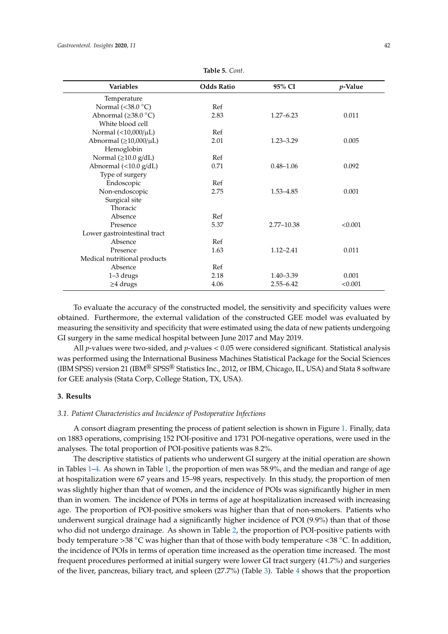| <b>Variables</b>                  | <b>Odds Ratio</b> | 95% CI         | <i>p</i> -Value |
|-----------------------------------|-------------------|----------------|-----------------|
| Temperature                       |                   |                |                 |
| Normal (<38.0 $\degree$ C)        | Ref               |                |                 |
| Abnormal ( $\geq$ 38.0 °C)        | 2.83              | $1.27 - 6.23$  | 0.011           |
| White blood cell                  |                   |                |                 |
| Normal $(<10,000/\mu L)$          | Ref               |                |                 |
| Abnormal $(\geq 10,000/\mu L)$    | 2.01              | $1.23 - 3.29$  | 0.005           |
| Hemoglobin                        |                   |                |                 |
| Normal $(\geq 10.0 \text{ g/dL})$ | Ref               |                |                 |
| Abnormal (<10.0 g/dL)             | 0.71              | $0.48 - 1.06$  | 0.092           |
| Type of surgery                   |                   |                |                 |
| Endoscopic                        | Ref               |                |                 |
| Non-endoscopic                    | 2.75              | 1.53-4.85      | 0.001           |
| Surgical site                     |                   |                |                 |
| Thoracic                          |                   |                |                 |
| Absence                           | Ref               |                |                 |
| Presence                          | 5.37              | $2.77 - 10.38$ | < 0.001         |
| Lower gastrointestinal tract      |                   |                |                 |
| Absence                           | Ref               |                |                 |
| Presence                          | 1.63              | $1.12 - 2.41$  | 0.011           |
| Medical nutritional products      |                   |                |                 |
| Absence                           | Ref               |                |                 |
| 1-3 drugs                         | 2.18              | $1.40 - 3.39$  | 0.001           |
| $\geq$ 4 drugs                    | 4.06              | $2.55 - 6.42$  | < 0.001         |

**Table 5.** *Cont*.

To evaluate the accuracy of the constructed model, the sensitivity and specificity values were obtained. Furthermore, the external validation of the constructed GEE model was evaluated by measuring the sensitivity and specificity that were estimated using the data of new patients undergoing GI surgery in the same medical hospital between June 2017 and May 2019.

All *p*-values were two-sided, and *p*-values < 0.05 were considered significant. Statistical analysis was performed using the International Business Machines Statistical Package for the Social Sciences (IBM SPSS) version 21 (IBM<sup>®</sup> SPSS<sup>®</sup> Statistics Inc., 2012, or IBM, Chicago, IL, USA) and Stata 8 software for GEE analysis (Stata Corp, College Station, TX, USA).

# **3. Results**

### *3.1. Patient Characteristics and Incidence of Postoperative Infections*

A consort diagram presenting the process of patient selection is shown in Figure [1.](#page-2-0) Finally, data on 1883 operations, comprising 152 POI-positive and 1731 POI-negative operations, were used in the analyses. The total proportion of POI-positive patients was 8.2%.

The descriptive statistics of patients who underwent GI surgery at the initial operation are shown in Tables [1–](#page-2-1)[4.](#page-4-0) As shown in Table [1,](#page-2-1) the proportion of men was 58.9%, and the median and range of age at hospitalization were 67 years and 15–98 years, respectively. In this study, the proportion of men was slightly higher than that of women, and the incidence of POIs was significantly higher in men than in women. The incidence of POIs in terms of age at hospitalization increased with increasing age. The proportion of POI-positive smokers was higher than that of non-smokers. Patients who underwent surgical drainage had a significantly higher incidence of POI (9.9%) than that of those who did not undergo drainage. As shown in Table [2,](#page-3-0) the proportion of POI-positive patients with body temperature >38  $\degree$ C was higher than that of those with body temperature <38  $\degree$ C. In addition, the incidence of POIs in terms of operation time increased as the operation time increased. The most frequent procedures performed at initial surgery were lower GI tract surgery (41.7%) and surgeries of the liver, pancreas, biliary tract, and spleen (27.7%) (Table [3\)](#page-3-1). Table [4](#page-4-0) shows that the proportion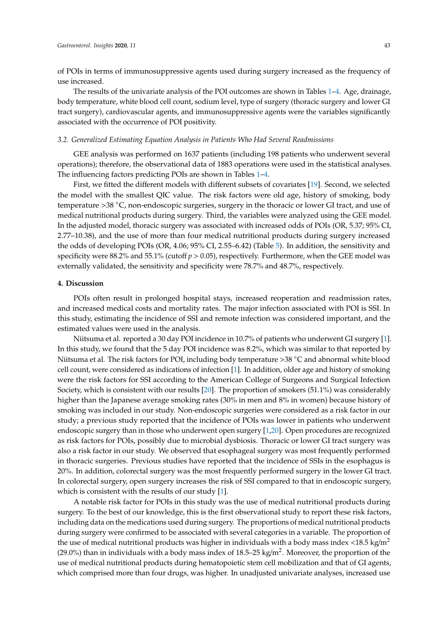of POIs in terms of immunosuppressive agents used during surgery increased as the frequency of use increased.

The results of the univariate analysis of the POI outcomes are shown in Tables [1](#page-2-1)[–4.](#page-4-0) Age, drainage, body temperature, white blood cell count, sodium level, type of surgery (thoracic surgery and lower GI tract surgery), cardiovascular agents, and immunosuppressive agents were the variables significantly associated with the occurrence of POI positivity.

# *3.2. Generalized Estimating Equation Analysis in Patients Who Had Several Readmissions*

GEE analysis was performed on 1637 patients (including 198 patients who underwent several operations); therefore, the observational data of 1883 operations were used in the statistical analyses. The influencing factors predicting POIs are shown in Tables [1](#page-2-1)[–4.](#page-4-0)

First, we fitted the different models with different subsets of covariates [\[19\]](#page-9-15). Second, we selected the model with the smallest QIC value. The risk factors were old age, history of smoking, body temperature >38 ◦C, non-endoscopic surgeries, surgery in the thoracic or lower GI tract, and use of medical nutritional products during surgery. Third, the variables were analyzed using the GEE model. In the adjusted model, thoracic surgery was associated with increased odds of POIs (OR, 5.37; 95% CI, 2.77–10.38), and the use of more than four medical nutritional products during surgery increased the odds of developing POIs (OR, 4.06; 95% CI, 2.55–6.42) (Table [5\)](#page-5-0). In addition, the sensitivity and specificity were 88.2% and 55.1% (cutoff *p* > 0.05), respectively. Furthermore, when the GEE model was externally validated, the sensitivity and specificity were 78.7% and 48.7%, respectively.

# **4. Discussion**

POIs often result in prolonged hospital stays, increased reoperation and readmission rates, and increased medical costs and mortality rates. The major infection associated with POI is SSI. In this study, estimating the incidence of SSI and remote infection was considered important, and the estimated values were used in the analysis.

Niitsuma et al. reported a 30 day POI incidence in 10.7% of patients who underwent GI surgery [\[1\]](#page-8-0). In this study, we found that the 5 day POI incidence was 8.2%, which was similar to that reported by Niitsuma et al. The risk factors for POI, including body temperature <sup>&</sup>gt;<sup>38</sup> ◦C and abnormal white blood cell count, were considered as indications of infection [\[1\]](#page-8-0). In addition, older age and history of smoking were the risk factors for SSI according to the American College of Surgeons and Surgical Infection Society, which is consistent with our results [\[20\]](#page-9-16). The proportion of smokers (51.1%) was considerably higher than the Japanese average smoking rates (30% in men and 8% in women) because history of smoking was included in our study. Non-endoscopic surgeries were considered as a risk factor in our study; a previous study reported that the incidence of POIs was lower in patients who underwent endoscopic surgery than in those who underwent open surgery [\[1](#page-8-0)[,20\]](#page-9-16). Open procedures are recognized as risk factors for POIs, possibly due to microbial dysbiosis. Thoracic or lower GI tract surgery was also a risk factor in our study. We observed that esophageal surgery was most frequently performed in thoracic surgeries. Previous studies have reported that the incidence of SSIs in the esophagus is 20%. In addition, colorectal surgery was the most frequently performed surgery in the lower GI tract. In colorectal surgery, open surgery increases the risk of SSI compared to that in endoscopic surgery, which is consistent with the results of our study [\[1\]](#page-8-0).

A notable risk factor for POIs in this study was the use of medical nutritional products during surgery. To the best of our knowledge, this is the first observational study to report these risk factors, including data on the medications used during surgery. The proportions of medical nutritional products during surgery were confirmed to be associated with several categories in a variable. The proportion of the use of medical nutritional products was higher in individuals with a body mass index  $\langle 18.5 \text{ kg/m}^2 \rangle$ (29.0%) than in individuals with a body mass index of 18.5–25 kg/m<sup>2</sup>. Moreover, the proportion of the use of medical nutritional products during hematopoietic stem cell mobilization and that of GI agents, which comprised more than four drugs, was higher. In unadjusted univariate analyses, increased use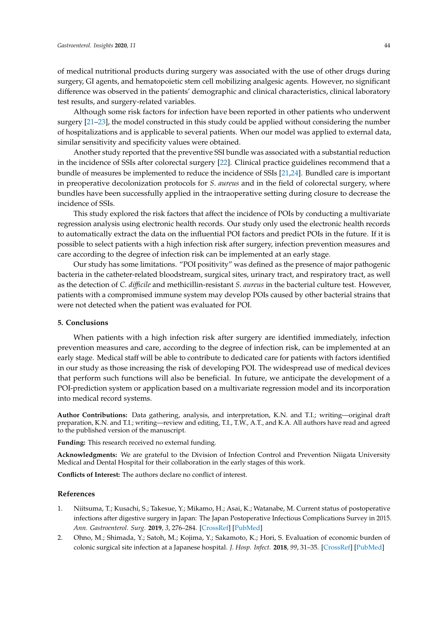of medical nutritional products during surgery was associated with the use of other drugs during surgery, GI agents, and hematopoietic stem cell mobilizing analgesic agents. However, no significant difference was observed in the patients' demographic and clinical characteristics, clinical laboratory test results, and surgery-related variables.

Although some risk factors for infection have been reported in other patients who underwent surgery [\[21](#page-9-17)[–23\]](#page-9-18), the model constructed in this study could be applied without considering the number of hospitalizations and is applicable to several patients. When our model was applied to external data, similar sensitivity and specificity values were obtained.

Another study reported that the preventive SSI bundle was associated with a substantial reduction in the incidence of SSIs after colorectal surgery [\[22\]](#page-9-19). Clinical practice guidelines recommend that a bundle of measures be implemented to reduce the incidence of SSIs [\[21,](#page-9-17)[24\]](#page-10-0). Bundled care is important in preoperative decolonization protocols for *S. aureus* and in the field of colorectal surgery, where bundles have been successfully applied in the intraoperative setting during closure to decrease the incidence of SSIs.

This study explored the risk factors that affect the incidence of POIs by conducting a multivariate regression analysis using electronic health records. Our study only used the electronic health records to automatically extract the data on the influential POI factors and predict POIs in the future. If it is possible to select patients with a high infection risk after surgery, infection prevention measures and care according to the degree of infection risk can be implemented at an early stage.

Our study has some limitations. "POI positivity" was defined as the presence of major pathogenic bacteria in the catheter-related bloodstream, surgical sites, urinary tract, and respiratory tract, as well as the detection of *C. di*ffi*cile* and methicillin-resistant *S. aureus* in the bacterial culture test. However, patients with a compromised immune system may develop POIs caused by other bacterial strains that were not detected when the patient was evaluated for POI.

#### **5. Conclusions**

When patients with a high infection risk after surgery are identified immediately, infection prevention measures and care, according to the degree of infection risk, can be implemented at an early stage. Medical staff will be able to contribute to dedicated care for patients with factors identified in our study as those increasing the risk of developing POI. The widespread use of medical devices that perform such functions will also be beneficial. In future, we anticipate the development of a POI-prediction system or application based on a multivariate regression model and its incorporation into medical record systems.

**Author Contributions:** Data gathering, analysis, and interpretation, K.N. and T.I.; writing—original draft preparation, K.N. and T.I.; writing—review and editing, T.I., T.W., A.T., and K.A. All authors have read and agreed to the published version of the manuscript.

**Funding:** This research received no external funding.

**Acknowledgments:** We are grateful to the Division of Infection Control and Prevention Niigata University Medical and Dental Hospital for their collaboration in the early stages of this work.

**Conflicts of Interest:** The authors declare no conflict of interest.

#### **References**

- <span id="page-8-0"></span>1. Niitsuma, T.; Kusachi, S.; Takesue, Y.; Mikamo, H.; Asai, K.; Watanabe, M. Current status of postoperative infections after digestive surgery in Japan: The Japan Postoperative Infectious Complications Survey in 2015. *Ann. Gastroenterol. Surg.* **2019**, *3*, 276–284. [\[CrossRef\]](http://dx.doi.org/10.1002/ags3.12236) [\[PubMed\]](http://www.ncbi.nlm.nih.gov/pubmed/31131356)
- <span id="page-8-1"></span>2. Ohno, M.; Shimada, Y.; Satoh, M.; Kojima, Y.; Sakamoto, K.; Hori, S. Evaluation of economic burden of colonic surgical site infection at a Japanese hospital. *J. Hosp. Infect.* **2018**, *99*, 31–35. [\[CrossRef\]](http://dx.doi.org/10.1016/j.jhin.2017.12.013) [\[PubMed\]](http://www.ncbi.nlm.nih.gov/pubmed/29258919)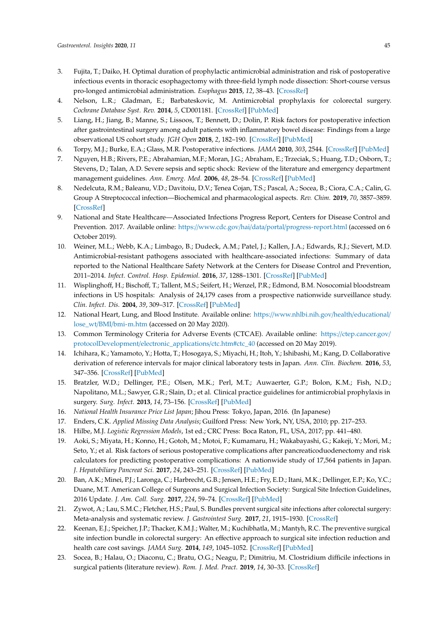- <span id="page-9-0"></span>3. Fujita, T.; Daiko, H. Optimal duration of prophylactic antimicrobial administration and risk of postoperative infectious events in thoracic esophagectomy with three-field lymph node dissection: Short-course versus pro-longed antimicrobial administration. *Esophagus* **2015**, *12*, 38–43. [\[CrossRef\]](http://dx.doi.org/10.1007/s10388-014-0451-7)
- <span id="page-9-1"></span>4. Nelson, L.R.; Gladman, E.; Barbateskovic, M. Antimicrobial prophylaxis for colorectal surgery. *Cochrane Database Syst. Rev.* **2014**, *5*, CD001181. [\[CrossRef\]](http://dx.doi.org/10.1002/14651858.CD001181.pub4) [\[PubMed\]](http://www.ncbi.nlm.nih.gov/pubmed/24817514)
- <span id="page-9-2"></span>5. Liang, H.; Jiang, B.; Manne, S.; Lissoos, T.; Bennett, D.; Dolin, P. Risk factors for postoperative infection after gastrointestinal surgery among adult patients with inflammatory bowel disease: Findings from a large observational US cohort study. *JGH Open* **2018**, *2*, 182–190. [\[CrossRef\]](http://dx.doi.org/10.1002/jgh3.12072) [\[PubMed\]](http://www.ncbi.nlm.nih.gov/pubmed/30483587)
- <span id="page-9-3"></span>6. Torpy, M.J.; Burke, E.A.; Glass, M.R. Postoperative infections. *JAMA* **2010**, *303*, 2544. [\[CrossRef\]](http://dx.doi.org/10.1001/jama.303.24.2544) [\[PubMed\]](http://www.ncbi.nlm.nih.gov/pubmed/20571023)
- <span id="page-9-4"></span>7. Nguyen, H.B.; Rivers, P.E.; Abrahamian, M.F.; Moran, J.G.; Abraham, E.; Trzeciak, S.; Huang, T.D.; Osborn, T.; Stevens, D.; Talan, A.D. Severe sepsis and septic shock: Review of the literature and emergency department management guidelines. *Ann. Emerg. Med.* **2006**, *48*, 28–54. [\[CrossRef\]](http://dx.doi.org/10.1016/j.annemergmed.2006.02.015) [\[PubMed\]](http://www.ncbi.nlm.nih.gov/pubmed/16781920)
- <span id="page-9-5"></span>8. Nedelcuta, R.M.; Baleanu, V.D.; Davitoiu, D.V.; Tenea Cojan, T.S.; Pascal, A.; Socea, B.; Ciora, C.A.; Calin, G. Group A Streptococcal infection—Biochemical and pharmacological aspects. *Rev. Chim.* **2019**, *70*, 3857–3859. [\[CrossRef\]](http://dx.doi.org/10.37358/RC.19.11.7659)
- <span id="page-9-6"></span>9. National and State Healthcare—Associated Infections Progress Report, Centers for Disease Control and Prevention. 2017. Available online: https://www.cdc.gov/hai/data/portal/[progress-report.html](https://www.cdc.gov/hai/data/portal/progress-report.html) (accessed on 6 October 2019).
- 10. Weiner, M.L.; Webb, K.A.; Limbago, B.; Dudeck, A.M.; Patel, J.; Kallen, J.A.; Edwards, R.J.; Sievert, M.D. Antimicrobial-resistant pathogens associated with healthcare-associated infections: Summary of data reported to the National Healthcare Safety Network at the Centers for Disease Control and Prevention, 2011–2014. *Infect. Control. Hosp. Epidemiol.* **2016**, *37*, 1288–1301. [\[CrossRef\]](http://dx.doi.org/10.1017/ice.2016.174) [\[PubMed\]](http://www.ncbi.nlm.nih.gov/pubmed/27573805)
- <span id="page-9-7"></span>11. Wisplinghoff, H.; Bischoff, T.; Tallent, M.S.; Seifert, H.; Wenzel, P.R.; Edmond, B.M. Nosocomial bloodstream infections in US hospitals: Analysis of 24,179 cases from a prospective nationwide surveillance study. *Clin. Infect. Dis.* **2004**, *39*, 309–317. [\[CrossRef\]](http://dx.doi.org/10.1086/421946) [\[PubMed\]](http://www.ncbi.nlm.nih.gov/pubmed/15306996)
- <span id="page-9-8"></span>12. National Heart, Lung, and Blood Institute. Available online: https://[www.nhlbi.nih.gov](https://www.nhlbi.nih.gov/health/educational/lose_wt/BMI/bmi-m.htm)/health/educational/ lose\_wt/BMI/[bmi-m.htm](https://www.nhlbi.nih.gov/health/educational/lose_wt/BMI/bmi-m.htm) (accessed on 20 May 2020).
- <span id="page-9-9"></span>13. Common Terminology Criteria for Adverse Events (CTCAE). Available online: https://[ctep.cancer.gov](https://ctep.cancer.gov/protocolDevelopment/electronic_applications/ctc.htm#ctc_40)/ protocolDevelopment/[electronic\\_applications](https://ctep.cancer.gov/protocolDevelopment/electronic_applications/ctc.htm#ctc_40)/ctc.htm#ctc\_40 (accessed on 20 May 2019).
- <span id="page-9-10"></span>14. Ichihara, K.; Yamamoto, Y.; Hotta, T.; Hosogaya, S.; Miyachi, H.; Itoh, Y.; Ishibashi, M.; Kang, D. Collaborative derivation of reference intervals for major clinical laboratory tests in Japan. *Ann. Clin. Biochem.* **2016**, *53*, 347–356. [\[CrossRef\]](http://dx.doi.org/10.1177/0004563215608875) [\[PubMed\]](http://www.ncbi.nlm.nih.gov/pubmed/26362325)
- <span id="page-9-11"></span>15. Bratzler, W.D.; Dellinger, P.E.; Olsen, M.K.; Perl, M.T.; Auwaerter, G.P.; Bolon, K.M.; Fish, N.D.; Napolitano, M.L.; Sawyer, G.R.; Slain, D.; et al. Clinical practice guidelines for antimicrobial prophylaxis in surgery. *Surg. Infect.* **2013**, *14*, 73–156. [\[CrossRef\]](http://dx.doi.org/10.1089/sur.2013.9999) [\[PubMed\]](http://www.ncbi.nlm.nih.gov/pubmed/23461695)
- <span id="page-9-12"></span>16. *National Health Insurance Price List Japan*; Jihou Press: Tokyo, Japan, 2016. (In Japanese)
- <span id="page-9-13"></span>17. Enders, C.K. *Applied Missing Data Analysis*; Guilford Press: New York, NY, USA, 2010; pp. 217–253.
- <span id="page-9-14"></span>18. Hilbe, M.J. *Logistic Regression Models*, 1st ed.; CRC Press: Boca Raton, FL, USA, 2017; pp. 441–480.
- <span id="page-9-15"></span>19. Aoki, S.; Miyata, H.; Konno, H.; Gotoh, M.; Motoi, F.; Kumamaru, H.; Wakabayashi, G.; Kakeji, Y.; Mori, M.; Seto, Y.; et al. Risk factors of serious postoperative complications after pancreaticoduodenectomy and risk calculators for predicting postoperative complications: A nationwide study of 17,564 patients in Japan. *J. Hepatobiliary Pancreat Sci.* **2017**, *24*, 243–251. [\[CrossRef\]](http://dx.doi.org/10.1002/jhbp.438) [\[PubMed\]](http://www.ncbi.nlm.nih.gov/pubmed/28196308)
- <span id="page-9-16"></span>20. Ban, A.K.; Minei, P.J.; Laronga, C.; Harbrecht, G.B.; Jensen, H.E.; Fry, E.D.; Itani, M.K.; Dellinger, E.P.; Ko, Y.C.; Duane, M.T. American College of Surgeons and Surgical Infection Society: Surgical Site Infection Guidelines, 2016 Update. *J. Am. Coll. Surg.* **2017**, *224*, 59–74. [\[CrossRef\]](http://dx.doi.org/10.1016/j.jamcollsurg.2016.10.029) [\[PubMed\]](http://www.ncbi.nlm.nih.gov/pubmed/27915053)
- <span id="page-9-17"></span>21. Zywot, A.; Lau, S.M.C.; Fletcher, H.S.; Paul, S. Bundles prevent surgical site infections after colorectal surgery: Meta-analysis and systematic review. *J. Gastrointest Surg.* **2017**, *21*, 1915–1930. [\[CrossRef\]](http://dx.doi.org/10.1007/s11605-017-3465-3)
- <span id="page-9-19"></span>22. Keenan, E.J.; Speicher, J.P.; Thacker, K.M.J.; Walter, M.; Kuchibhatla, M.; Mantyh, R.C. The preventive surgical site infection bundle in colorectal surgery: An effective approach to surgical site infection reduction and health care cost savings. *JAMA Surg.* **2014**, *149*, 1045–1052. [\[CrossRef\]](http://dx.doi.org/10.1001/jamasurg.2014.346) [\[PubMed\]](http://www.ncbi.nlm.nih.gov/pubmed/25163027)
- <span id="page-9-18"></span>23. Socea, B.; Halau, O.; Diaconu, C.; Bratu, O.G.; Neagu, P.; Dimitriu, M. Clostridium difficile infections in surgical patients (literature review). *Rom. J. Med. Pract.* **2019**, *14*, 30–33. [\[CrossRef\]](http://dx.doi.org/10.37897/RJMP.2019.1.6)